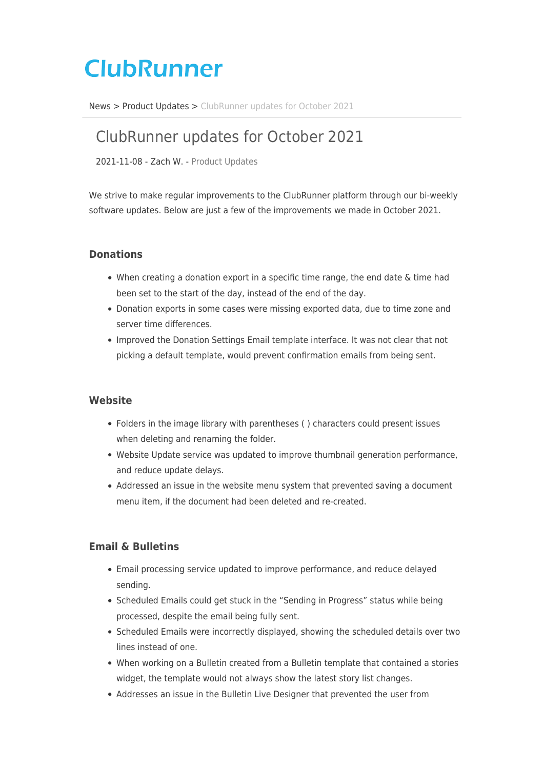# **ClubRunner**

[News](https://www.clubrunnersupport.com/news) > [Product Updates](https://www.clubrunnersupport.com/news/product-updates) > [ClubRunner updates for October 2021](https://www.clubrunnersupport.com/news/posts/clubrunner-updates-for-october-2021)

# ClubRunner updates for October 2021

2021-11-08 - Zach W. - [Product Updates](https://www.clubrunnersupport.com/news/product-updates)

We strive to make regular improvements to the ClubRunner platform through our bi-weekly software updates. Below are just a few of the improvements we made in October 2021.

# **Donations**

- When creating a donation export in a specific time range, the end date & time had been set to the start of the day, instead of the end of the day.
- Donation exports in some cases were missing exported data, due to time zone and server time differences.
- Improved the Donation Settings Email template interface. It was not clear that not picking a default template, would prevent confirmation emails from being sent.

#### **Website**

- Folders in the image library with parentheses ( ) characters could present issues when deleting and renaming the folder.
- Website Update service was updated to improve thumbnail generation performance, and reduce update delays.
- Addressed an issue in the website menu system that prevented saving a document menu item, if the document had been deleted and re-created.

#### **Email & Bulletins**

- Email processing service updated to improve performance, and reduce delayed sending.
- Scheduled Emails could get stuck in the "Sending in Progress" status while being processed, despite the email being fully sent.
- Scheduled Emails were incorrectly displayed, showing the scheduled details over two lines instead of one.
- When working on a Bulletin created from a Bulletin template that contained a stories widget, the template would not always show the latest story list changes.
- Addresses an issue in the Bulletin Live Designer that prevented the user from